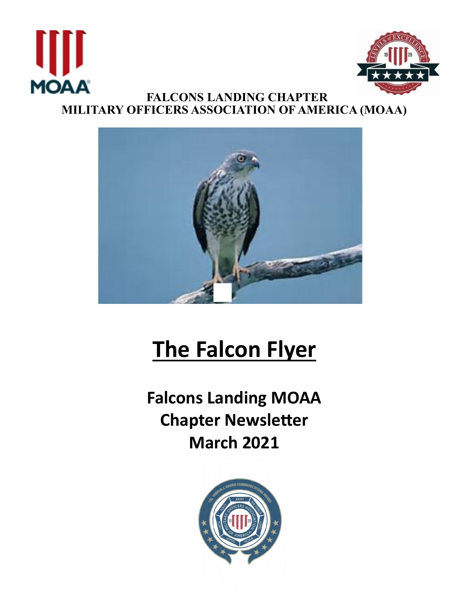



# **The Falcon Flyer**

**Falcons Landing MOAA Chapter Newsleter March 2021**

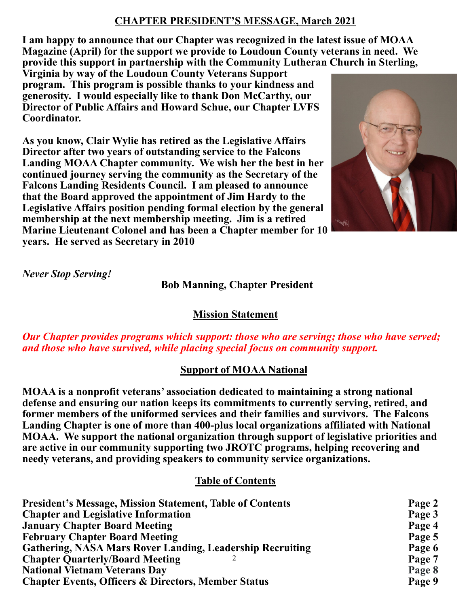# **CHAPTER PRESIDENT'S MESSAGE, March 2021**

**I am happy to announce that our Chapter was recognized in the latest issue of MOAA Magazine (April) for the support we provide to Loudoun County veterans in need. We provide this support in partnership with the Community Lutheran Church in Sterling,** 

**Virginia by way of the Loudoun County Veterans Support program. This program is possible thanks to your kindness and generosity. I would especially like to thank Don McCarthy, our Director of Public Affairs and Howard Schue, our Chapter LVFS Coordinator.** 

**As you know, Clair Wylie has retired as the Legislative Affairs Director after two years of outstanding service to the Falcons Landing MOAA Chapter community. We wish her the best in her continued journey serving the community as the Secretary of the Falcons Landing Residents Council. I am pleased to announce that the Board approved the appointment of Jim Hardy to the Legislative Affairs position pending formal election by the general membership at the next membership meeting. Jim is a retired Marine Lieutenant Colonel and has been a Chapter member for 10 years. He served as Secretary in 2010**



*Never Stop Serving!*

# **Bob Manning, Chapter President**

## **Mission Statement**

*Our Chapter provides programs which support: those who are serving; those who have served; and those who have survived, while placing special focus on community support.*

## **Support of MOAA National**

**MOAA is a nonprofit veterans' association dedicated to maintaining a strong national defense and ensuring our nation keeps its commitments to currently serving, retired, and former members of the uniformed services and their families and survivors. The Falcons Landing Chapter is one of more than 400-plus local organizations affiliated with National MOAA. We support the national organization through support of legislative priorities and are active in our community supporting two JROTC programs, helping recovering and needy veterans, and providing speakers to community service organizations.** 

#### **Table of Contents**

| <b>President's Message, Mission Statement, Table of Contents</b> | Page 2 |
|------------------------------------------------------------------|--------|
| <b>Chapter and Legislative Information</b>                       | Page 3 |
| <b>January Chapter Board Meeting</b>                             | Page 4 |
| <b>February Chapter Board Meeting</b>                            | Page 5 |
| <b>Gathering, NASA Mars Rover Landing, Leadership Recruiting</b> | Page 6 |
| <b>Chapter Quarterly/Board Meeting</b>                           | Page 7 |
| <b>National Vietnam Veterans Day</b>                             | Page 8 |
| <b>Chapter Events, Officers &amp; Directors, Member Status</b>   | Page 9 |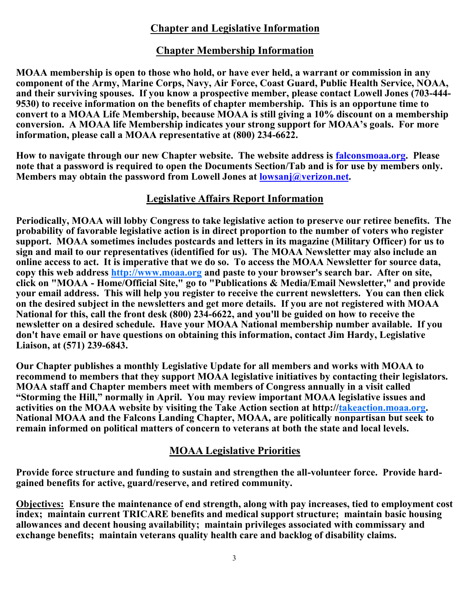## **Chapter and Legislative Information**

#### **Chapter Membership Information**

**MOAA membership is open to those who hold, or have ever held, a warrant or commission in any component of the Army, Marine Corps, Navy, Air Force, Coast Guard, Public Health Service, NOAA, and their surviving spouses. If you know a prospective member, please contact Lowell Jones (703-444- 9530) to receive information on the benefits of chapter membership. This is an opportune time to convert to a MOAA Life Membership, because MOAA is still giving a 10% discount on a membership conversion. A MOAA life Membership indicates your strong support for MOAA's goals. For more information, please call a MOAA representative at (800) 234-6622.**

**How to navigate through our new Chapter website. The website address is falconsmoaa.org. Please note that a password is required to open the Documents Section/Tab and is for use by members only. Members may obtain the password from Lowell Jones at lowsanj@verizon.net.**

#### **Legislative Affairs Report Information**

**Periodically, MOAA will lobby Congress to take legislative action to preserve our retiree benefits. The probability of favorable legislative action is in direct proportion to the number of voters who register support. MOAA sometimes includes postcards and letters in its magazine (Military Officer) for us to sign and mail to our representatives (identified for us). The MOAA Newsletter may also include an online access to act. It is imperative that we do so. To access the MOAA Newsletter for source data, copy this web address http://www.moaa.org and paste to your browser's search bar. After on site, click on "MOAA - Home/Official Site," go to "Publications & Media/Email Newsletter," and provide your email address. This will help you register to receive the current newsletters. You can then click on the desired subject in the newsletters and get more details. If you are not registered with MOAA National for this, call the front desk (800) 234-6622, and you'll be guided on how to receive the newsletter on a desired schedule. Have your MOAA National membership number available. If you don't have email or have questions on obtaining this information, contact Jim Hardy, Legislative Liaison, at (571) 239-6843.**

**Our Chapter publishes a monthly Legislative Update for all members and works with MOAA to recommend to members that they support MOAA legislative initiatives by contacting their legislators. MOAA staff and Chapter members meet with members of Congress annually in a visit called "Storming the Hill," normally in April. You may review important MOAA legislative issues and activities on the MOAA website by visiting the Take Action section at http://takeaction.moaa.org. National MOAA and the Falcons Landing Chapter, MOAA, are politically nonpartisan but seek to remain informed on political matters of concern to veterans at both the state and local levels.**

#### **MOAA Legislative Priorities**

**Provide force structure and funding to sustain and strengthen the all-volunteer force. Provide hardgained benefits for active, guard/reserve, and retired community.** 

**Objectives: Ensure the maintenance of end strength, along with pay increases, tied to employment cost index; maintain current TRICARE benefits and medical support structure; maintain basic housing allowances and decent housing availability; maintain privileges associated with commissary and exchange benefits; maintain veterans quality health care and backlog of disability claims.**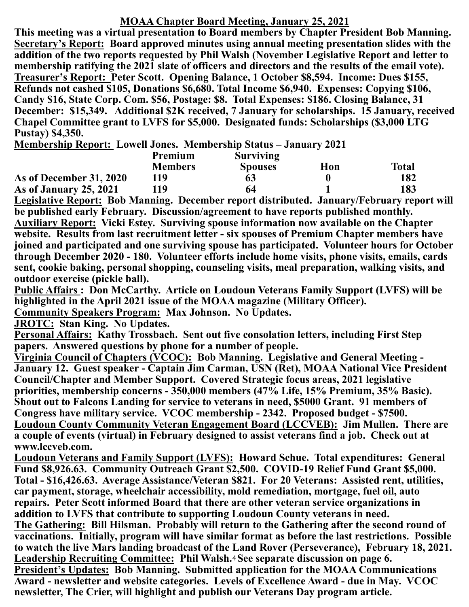## **MOAA Chapter Board Meeting, January 25, 2021**

**This meeting was a virtual presentation to Board members by Chapter President Bob Manning. Secretary's Report: Board approved minutes using annual meeting presentation slides with the addition of the two reports requested by Phil Walsh (November Legislative Report and letter to membership ratifying the 2021 slate of officers and directors and the results of the email vote). Treasurer's Report: Peter Scott. Opening Balance, 1 October \$8,594. Income: Dues \$155, Refunds not cashed \$105, Donations \$6,680. Total Income \$6,940. Expenses: Copying \$106, Candy \$16, State Corp. Com. \$56, Postage: \$8. Total Expenses: \$186. Closing Balance, 31 December: \$15,349. Additional \$2K received, 7 January for scholarships. 15 January, received Chapel Committee grant to LVFS for \$5,000. Designated funds: Scholarships (\$3,000 LTG Pustay) \$4,350.** 

**Membership Report: Lowell Jones. Membership Status – January 2021**

|                         | <b>Premium</b> | <b>Surviving</b> |     |              |
|-------------------------|----------------|------------------|-----|--------------|
|                         | <b>Members</b> | <b>Spouses</b>   | Hon | <b>Total</b> |
| As of December 31, 2020 | 119            | 63               |     | 182          |
| As of January 25, 2021  | 119            | 64               |     | 183          |

**Legislative Report: Bob Manning. December report distributed. January/February report will be published early February. Discussion/agreement to have reports published monthly. Auxiliary Report: Vicki Estey. Surviving spouse information now available on the Chapter website. Results from last recruitment letter - six spouses of Premium Chapter members have joined and participated and one surviving spouse has participated. Volunteer hours for October through December 2020 - 180. Volunteer efforts include home visits, phone visits, emails, cards sent, cookie baking, personal shopping, counseling visits, meal preparation, walking visits, and outdoor exercise (pickle ball).**

**Public Affairs : Don McCarthy. Article on Loudoun Veterans Family Support (LVFS) will be highlighted in the April 2021 issue of the MOAA magazine (Military Officer). Community Speakers Program: Max Johnson. No Updates.**

**JROTC: Stan King. No Updates.**

**Personal Affairs: Kathy Trossbach. Sent out five consolation letters, including First Step papers. Answered questions by phone for a number of people.**

**Virginia Council of Chapters (VCOC): Bob Manning. Legislative and General Meeting - January 12. Guest speaker - Captain Jim Carman, USN (Ret), MOAA National Vice President Council/Chapter and Member Support. Covered Strategic focus areas, 2021 legislative priorities, membership concerns - 350,000 members (47% Life, 15% Premium, 35% Basic). Shout out to Falcons Landing for service to veterans in need, \$5000 Grant. 91 members of Congress have military service. VCOC membership - 2342. Proposed budget - \$7500. Loudoun County Community Veteran Engagement Board (LCCVEB): Jim Mullen. There are a couple of events (virtual) in February designed to assist veterans find a job. Check out at www.lccveb.com.**

**Loudoun Veterans and Family Support (LVFS): Howard Schue. Total expenditures: General Fund \$8,926.63. Community Outreach Grant \$2,500. COVID-19 Relief Fund Grant \$5,000. Total - \$16,426.63. Average Assistance/Veteran \$821. For 20 Veterans: Assisted rent, utilities, car payment, storage, wheelchair accessibility, mold remediation, mortgage, fuel oil, auto repairs. Peter Scott informed Board that there are other veteran service organizations in addition to LVFS that contribute to supporting Loudoun County veterans in need. The Gathering: Bill Hilsman. Probably will return to the Gathering after the second round of vaccinations. Initially, program will have similar format as before the last restrictions. Possible to watch the live Mars landing broadcast of the Land Rover (Perseverance), February 18, 2021.**

Leadership Recruiting Committee: Phil Walsh.<sup>4</sup> See separate discussion on page 6. **President's Updates: Bob Manning. Submitted application for the MOAA Communications Award - newsletter and website categories. Levels of Excellence Award - due in May. VCOC newsletter, The Crier, will highlight and publish our Veterans Day program article.**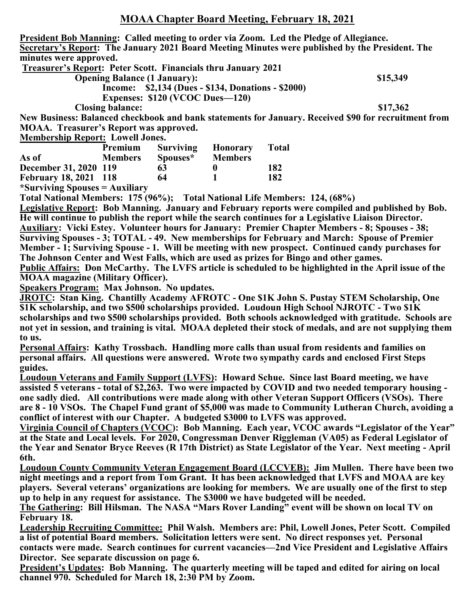**President Bob Manning: Called meeting to order via Zoom. Led the Pledge of Allegiance. Secretary's Report: The January 2021 Board Meeting Minutes were published by the President. The minutes were approved.**

**Treasurer's Report: Peter Scott. Financials thru January 2021** 

**Opening Balance (1 January):** \$15,349

 **Income: \$2,134 (Dues - \$134, Donations - \$2000) Expenses: \$120 (VCOC Dues—120) Closing balance: \$17,362**

**New Business: Balanced checkbook and bank statements for January. Received \$90 for recruitment from MOAA. Treasurer's Report was approved.** 

**Membership Report: Lowell Jones.**

|                                | Premium        | <b>Surviving</b> | <b>Honorary</b> | <b>Total</b> |
|--------------------------------|----------------|------------------|-----------------|--------------|
| As of                          | <b>Members</b> | Spouses*         | <b>Members</b>  |              |
| December 31, 2020 119          |                | 63               |                 | 182          |
| <b>February 18, 2021 118</b>   |                | 64               |                 | 182          |
| *Surviving Spouses = Auxiliary |                |                  |                 |              |

**Total National Members: 175 (96%); Total National Life Members: 124, (68%) Legislative Report: Bob Manning. January and February reports were compiled and published by Bob. He will continue to publish the report while the search continues for a Legislative Liaison Director. Auxiliary: Vicki Estey. Volunteer hours for January: Premier Chapter Members - 8; Spouses - 38; Surviving Spouses - 3; TOTAL - 49. New memberships for February and March: Spouse of Premier Member - 1; Surviving Spouse - 1. Will be meeting with new prospect. Continued candy purchases for The Johnson Center and West Falls, which are used as prizes for Bingo and other games. Public Affairs: Don McCarthy. The LVFS article is scheduled to be highlighted in the April issue of the MOAA magazine (Military Officer).**

**Speakers Program: Max Johnson. No updates.**

**JROTC: Stan King. Chantilly Academy AFROTC - One \$1K John S. Pustay STEM Scholarship, One \$1K scholarship, and two \$500 scholarships provided. Loudoun High School NJROTC - Two \$1K scholarships and two \$500 scholarships provided. Both schools acknowledged with gratitude. Schools are not yet in session, and training is vital. MOAA depleted their stock of medals, and are not supplying them to us.** 

**Personal Affairs: Kathy Trossbach. Handling more calls than usual from residents and families on personal affairs. All questions were answered. Wrote two sympathy cards and enclosed First Steps guides.**

**Loudoun Veterans and Family Support (LVFS): Howard Schue. Since last Board meeting, we have assisted 5 veterans - total of \$2,263. Two were impacted by COVID and two needed temporary housing one sadly died. All contributions were made along with other Veteran Support Officers (VSOs). There are 8 - 10 VSOs. The Chapel Fund grant of \$5,000 was made to Community Lutheran Church, avoiding a conflict of interest with our Chapter. A budgeted \$3000 to LVFS was approved.** 

**Virginia Council of Chapters (VCOC): Bob Manning. Each year, VCOC awards "Legislator of the Year" at the State and Local levels. For 2020, Congressman Denver Riggleman (VA05) as Federal Legislator of the Year and Senator Bryce Reeves (R 17th District) as State Legislator of the Year. Next meeting - April 6th.** 

**Loudoun County Community Veteran Engagement Board (LCCVEB): Jim Mullen. There have been two night meetings and a report from Tom Grant. It has been acknowledged that LVFS and MOAA are key players. Several veterans' organizations are looking for members. We are usually one of the first to step up to help in any request for assistance. The \$3000 we have budgeted will be needed.** 

**The Gathering: Bill Hilsman. The NASA "Mars Rover Landing" event will be shown on local TV on February 18.**

**Leadership Recruiting Committee: Phil Walsh. Members are: Phil, Lowell Jones, Peter Scott. Compiled a list of potential Board members. Solicitation letters were sent. No direct responses yet. Personal contacts were made. Search continues for current vacancies—2nd Vice President and Legislative Affairs Director. See separate discussion on page 6.** 

**President's Updates: Bob Manning. The quarterly meeting will be taped and edited for airing on local channel 970. Scheduled for March 18, 2:30 PM by Zoom.**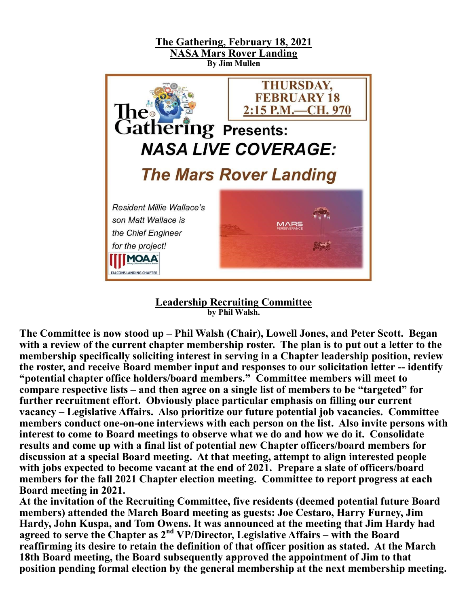



**The Committee is now stood up – Phil Walsh (Chair), Lowell Jones, and Peter Scott. Began with a review of the current chapter membership roster. The plan is to put out a letter to the membership specifically soliciting interest in serving in a Chapter leadership position, review the roster, and receive Board member input and responses to our solicitation letter -- identify "potential chapter office holders/board members." Committee members will meet to compare respective lists – and then agree on a single list of members to be "targeted" for further recruitment effort. Obviously place particular emphasis on filling our current vacancy – Legislative Affairs. Also prioritize our future potential job vacancies. Committee members conduct one-on-one interviews with each person on the list. Also invite persons with interest to come to Board meetings to observe what we do and how we do it. Consolidate**  results and come up with a final list of potential new Chapter officers/board members for **discussion at a special Board meeting. At that meeting, attempt to align interested people with jobs expected to become vacant at the end of 2021. Prepare a slate of officers/board members for the fall 2021 Chapter election meeting. Committee to report progress at each Board meeting in 2021.** 

18th Board meeting, the Board subsequently approved the appointment of Jim to that **At the invitation of the Recruiting Committee, five residents (deemed potential future Board members) attended the March Board meeting as guests: Joe Cestaro, Harry Furney, Jim Hardy, John Kuspa, and Tom Owens. It was announced at the meeting that Jim Hardy had agreed to serve the Chapter as 2nd VP/Director, Legislative Affairs – with the Board reaffirming its desire to retain the definition of that officer position as stated. At the March position pending formal election by the general membership at the next membership meeting.**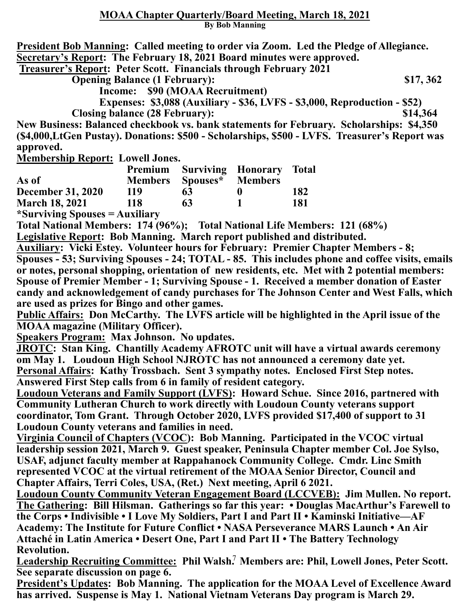**President Bob Manning: Called meeting to order via Zoom. Led the Pledge of Allegiance. Secretary's Report: The February 18, 2021 Board minutes were approved. Treasurer's Report: Peter Scott. Financials through February 2021** 

**Opening Balance (1 February):** \$17, 362

 **Income: \$90 (MOAA Recruitment)**

 **Expenses: \$3,088 (Auxiliary - \$36, LVFS - \$3,000, Reproduction - \$52)**

**Closing balance (28 February): \$14,364**

**New Business: Balanced checkbook vs. bank statements for February. Scholarships: \$4,350 (\$4,000,LtGen Pustay). Donations: \$500 - Scholarships, \$500 - LVFS. Treasurer's Report was approved.** 

**Membership Report: Lowell Jones.**

|                          |                |          | Premium Surviving Honorary Total |     |
|--------------------------|----------------|----------|----------------------------------|-----|
| As of                    | <b>Members</b> | Spouses* | <b>Members</b>                   |     |
| <b>December 31, 2020</b> | 119            | 63       |                                  | 182 |
| <b>March 18, 2021</b>    | 118            | 63       |                                  | 181 |
| $*l$                     |                |          |                                  |     |

**\*Surviving Spouses = Auxiliary**

**Total National Members: 174 (96%); Total National Life Members: 121 (68%)**

**Legislative Report: Bob Manning. March report published and distributed.**

**Auxiliary: Vicki Estey. Volunteer hours for February: Premier Chapter Members - 8; Spouses - 53; Surviving Spouses - 24; TOTAL - 85. This includes phone and coffee visits, emails or notes, personal shopping, orientation of new residents, etc. Met with 2 potential members: Spouse of Premier Member - 1; Surviving Spouse - 1. Received a member donation of Easter candy and acknowledgement of candy purchases for The Johnson Center and West Falls, which are used as prizes for Bingo and other games.** 

**Public Affairs: Don McCarthy. The LVFS article will be highlighted in the April issue of the MOAA magazine (Military Officer).**

**Speakers Program: Max Johnson. No updates.**

**JROTC: Stan King. Chantilly Academy AFROTC unit will have a virtual awards ceremony om May 1. Loudoun High School NJROTC has not announced a ceremony date yet. Personal Affairs: Kathy Trossbach. Sent 3 sympathy notes. Enclosed First Step notes. Answered First Step calls from 6 in family of resident category.**

**Loudoun Veterans and Family Support (LVFS): Howard Schue. Since 2016, partnered with Community Lutheran Church to work directly with Loudoun County veterans support coordinator, Tom Grant. Through October 2020, LVFS provided \$17,400 of support to 31 Loudoun County veterans and families in need.**

**Virginia Council of Chapters (VCOC): Bob Manning. Participated in the VCOC virtual leadership session 2021, March 9. Guest speaker, Peninsula Chapter member Col. Joe Sylso, USAF, adjunct faculty member at Rappahanock Community College. Cmdr. Linc Smith represented VCOC at the virtual retirement of the MOAA Senior Director, Council and Chapter Affairs, Terri Coles, USA, (Ret.) Next meeting, April 6 2021.**

**Loudoun County Community Veteran Engagement Board (LCCVEB): Jim Mullen. No report. The Gathering: Bill Hilsman. Gatherings so far this year: • Douglas MacArthur's Farewell to the Corps • Indivisible • I Love My Soldiers, Part I and Part II • Kaminski Initiative—AF Academy: The Institute for Future Conflict • NASA Perseverance MARS Launch • An Air Attaché in Latin America • Desert One, Part I and Part II • The Battery Technology Revolution.** 

Leadership Recruiting Committee: Phil Walsh.<sup>7</sup> Members are: Phil, Lowell Jones, Peter Scott. **See separate discussion on page 6.**

**President's Updates: Bob Manning. The application for the MOAA Level of Excellence Award has arrived. Suspense is May 1. National Vietnam Veterans Day program is March 29.**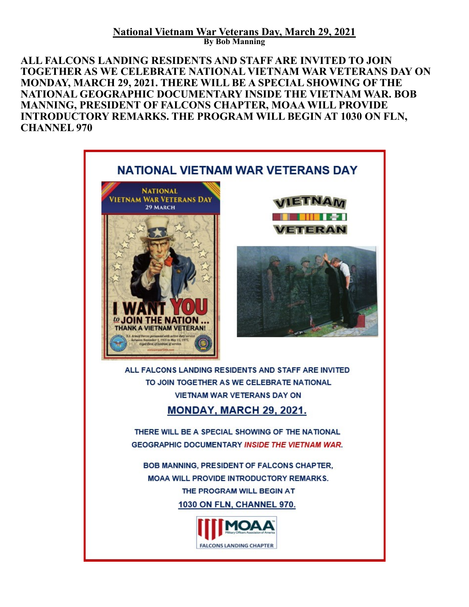**National Vietnam War Veterans Day, March 29, 2021 By Bob Manning**

**ALL FALCONS LANDING RESIDENTS AND STAFF ARE INVITED TO JOIN TOGETHER AS WE CELEBRATE NATIONAL VIETNAM WAR VETERANS DAY ON MONDAY, MARCH 29, 2021. THERE WILL BE A SPECIAL SHOWING OF THE NATIONAL GEOGRAPHIC DOCUMENTARY INSIDE THE VIETNAM WAR. BOB MANNING, PRESIDENT OF FALCONS CHAPTER, MOAA WILL PROVIDE INTRODUCTORY REMARKS. THE PROGRAM WILL BEGIN AT 1030 ON FLN, CHANNEL 970**